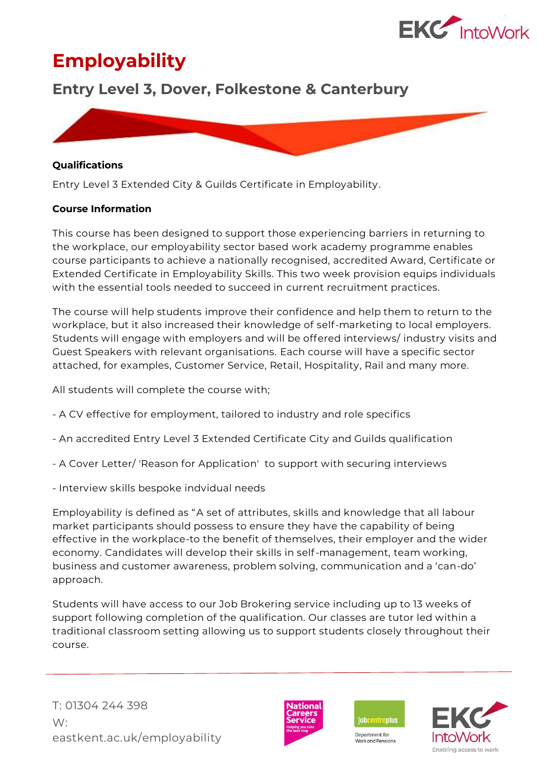

# **Employability**

## **Entry Level 3, Dover, Folkestone & Canterbury**



#### **Qualifications**

Entry Level 3 Extended City & Guilds Certificate in Employability.

#### **Course Information**

This course has been designed to support those experiencing barriers in returning to the workplace, our employability sector based work academy programme enables course participants to achieve a nationally recognised, accredited Award, Certificate or Extended Certificate in Employability Skills. This two week provision equips individuals with the essential tools needed to succeed in current recruitment practices.

The course will help students improve their confidence and help them to return to the workplace, but it also increased their knowledge of self-marketing to local employers. Students will engage with employers and will be offered interviews/ industry visits and Guest Speakers with relevant organisations. Each course will have a specific sector attached, for examples, Customer Service, Retail, Hospitality, Rail and many more.

All students will complete the course with;

- A CV effective for employment, tailored to industry and role specifics
- An accredited Entry Level 3 Extended Certificate City and Guilds qualification
- A Cover Letter/ 'Reason for Application' to support with securing interviews
- Interview skills bespoke indvidual needs

Employability is defined as "A set of attributes, skills and knowledge that all labour market participants should possess to ensure they have the capability of being effective in the workplace-to the benefit of themselves, their employer and the wider economy. Candidates will develop their skills in self-management, team working, business and customer awareness, problem solving, communication and a 'can-do' approach.

Students will have access to our Job Brokering service including up to 13 weeks of support following completion of the qualification. Our classes are tutor led within a traditional classroom setting allowing us to support students closely throughout their course.





**Work and Pensions**